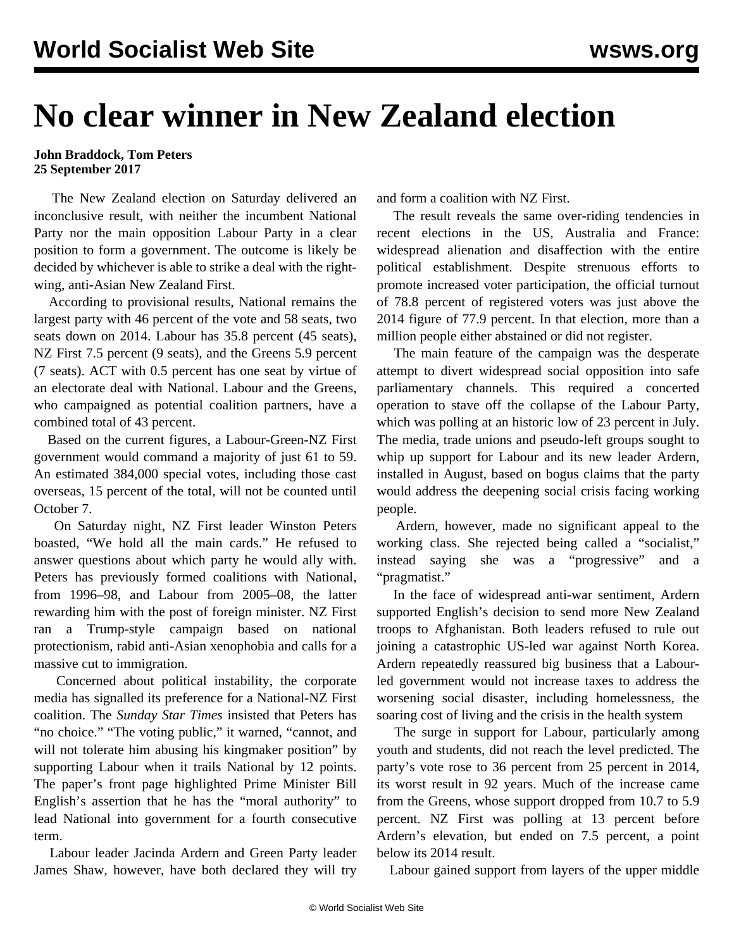## **No clear winner in New Zealand election**

## **John Braddock, Tom Peters 25 September 2017**

 The New Zealand election on Saturday delivered an inconclusive result, with neither the incumbent National Party nor the main opposition Labour Party in a clear position to form a government. The outcome is likely be decided by whichever is able to strike a deal with the rightwing, anti-Asian New Zealand First.

 According to provisional results, National remains the largest party with 46 percent of the vote and 58 seats, two seats down on 2014. Labour has 35.8 percent (45 seats), NZ First 7.5 percent (9 seats), and the Greens 5.9 percent (7 seats). ACT with 0.5 percent has one seat by virtue of an electorate deal with National. Labour and the Greens, who campaigned as potential coalition partners, have a combined total of 43 percent.

 Based on the current figures, a Labour-Green-NZ First government would command a majority of just 61 to 59. An estimated 384,000 special votes, including those cast overseas, 15 percent of the total, will not be counted until October 7.

 On Saturday night, NZ First leader Winston Peters boasted, "We hold all the main cards." He refused to answer questions about which party he would ally with. Peters has previously formed coalitions with National, from 1996–98, and Labour from 2005–08, the latter rewarding him with the post of foreign minister. NZ First ran a Trump-style campaign based on national protectionism, rabid anti-Asian xenophobia and calls for a massive cut to immigration.

 Concerned about political instability, the corporate media has signalled its preference for a National-NZ First coalition. The *Sunday Star Times* insisted that Peters has "no choice." "The voting public," it warned, "cannot, and will not tolerate him abusing his kingmaker position" by supporting Labour when it trails National by 12 points. The paper's front page highlighted Prime Minister Bill English's assertion that he has the "moral authority" to lead National into government for a fourth consecutive term.

 Labour leader Jacinda Ardern and Green Party leader James Shaw, however, have both declared they will try

and form a coalition with NZ First.

 The result reveals the same over-riding tendencies in recent elections in the US, Australia and France: widespread alienation and disaffection with the entire political establishment. Despite strenuous efforts to promote increased voter participation, the official turnout of 78.8 percent of registered voters was just above the 2014 figure of 77.9 percent. In that election, more than a million people either abstained or did not register.

 The main feature of the campaign was the desperate attempt to divert widespread social opposition into safe parliamentary channels. This required a concerted operation to stave off the collapse of the Labour Party, which was polling at an historic low of 23 percent in July. The media, trade unions and pseudo-left groups sought to whip up support for Labour and its new leader Ardern, installed in August, based on bogus claims that the party would address the deepening social crisis facing working people.

 Ardern, however, made no significant appeal to the working class. She rejected being called a "socialist," instead saying she was a "progressive" and a "pragmatist."

 In the face of widespread anti-war sentiment, Ardern supported English's decision to send more New Zealand troops to Afghanistan. Both leaders refused to rule out joining a catastrophic US-led war against North Korea. Ardern repeatedly reassured big business that a Labourled government would not increase taxes to address the worsening social disaster, including homelessness, the soaring cost of living and the crisis in the health system

 The surge in support for Labour, particularly among youth and students, did not reach the level predicted. The party's vote rose to 36 percent from 25 percent in 2014, its worst result in 92 years. Much of the increase came from the Greens, whose support dropped from 10.7 to 5.9 percent. NZ First was polling at 13 percent before Ardern's elevation, but ended on 7.5 percent, a point below its 2014 result.

Labour gained support from layers of the upper middle